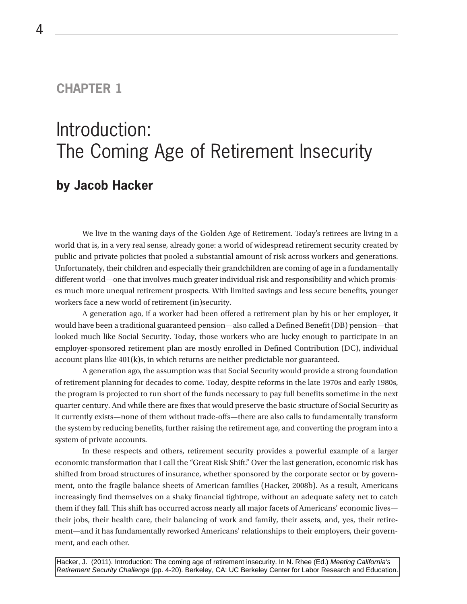#### **CHAPTER 1**

# Introduction: The Coming Age of Retirement Insecurity **by Jacob Hacker**

We live in the waning days of the Golden Age of Retirement. Today's retirees are living in a world that is, in a very real sense, already gone: a world of widespread retirement security created by public and private policies that pooled a substantial amount of risk across workers and generations. Unfortunately, their children and especially their grandchildren are coming of age in a fundamentally different world—one that involves much greater individual risk and responsibility and which promises much more unequal retirement prospects. With limited savings and less secure benefits, younger workers face a new world of retirement (in)security.

A generation ago, if a worker had been offered a retirement plan by his or her employer, it would have been a traditional guaranteed pension—also called a Defined Benefit (DB) pension—that looked much like Social Security. Today, those workers who are lucky enough to participate in an employer-sponsored retirement plan are mostly enrolled in Defined Contribution (DC), individual account plans like  $401(k)s$ , in which returns are neither predictable nor guaranteed.

A generation ago, the assumption was that Social Security would provide a strong foundation of retirement planning for decades to come. Today, despite reforms in the late 1970s and early 1980s, the program is projected to run short of the funds necessary to pay full benefits sometime in the next quarter century. And while there are fixes that would preserve the basic structure of Social Security as it currently exists—none of them without trade-offs—there are also calls to fundamentally transform the system by reducing benefits, further raising the retirement age, and converting the program into a system of private accounts.

In these respects and others, retirement security provides a powerful example of a larger economic transformation that I call the "Great Risk Shift." Over the last generation, economic risk has shifted from broad structures of insurance, whether sponsored by the corporate sector or by government, onto the fragile balance sheets of American families (Hacker, 2008b). As a result, Americans increasingly find themselves on a shaky financial tightrope, without an adequate safety net to catch them if they fall. This shift has occurred across nearly all major facets of Americans' economic lives their jobs, their health care, their balancing of work and family, their assets, and, yes, their retirement—and it has fundamentally reworked Americans' relationships to their employers, their government, and each other.

Hacker, J. (2011). Introduction: The coming age of retirement insecurity. In N. Rhee (Ed.) Meeting California's Retirement Security Challenge (pp. 4-20). Berkeley, CA: UC Berkeley Center for Labor Research and Education.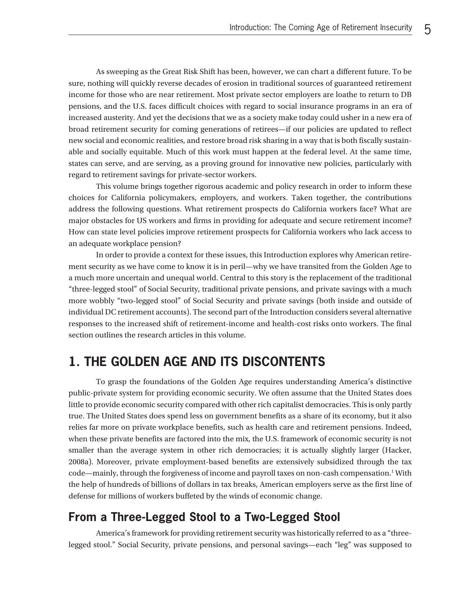As sweeping as the Great Risk Shift has been, however, we can chart a different future. To be sure, nothing will quickly reverse decades of erosion in traditional sources of guaranteed retirement income for those who are near retirement. Most private sector employers are loathe to return to DB pensions, and the U.S. faces difficult choices with regard to social insurance programs in an era of increased austerity. And yet the decisions that we as a society make today could usher in a new era of broad retirement security for coming generations of retirees—if our policies are updated to reflect new social and economic realities, and restore broad risk sharing in a way that is both fiscally sustainable and socially equitable. Much of this work must happen at the federal level. At the same time, states can serve, and are serving, as a proving ground for innovative new policies, particularly with regard to retirement savings for private-sector workers.

This volume brings together rigorous academic and policy research in order to inform these choices for California policymakers, employers, and workers. Taken together, the contributions address the following questions. What retirement prospects do California workers face? What are major obstacles for US workers and firms in providing for adequate and secure retirement income? How can state level policies improve retirement prospects for California workers who lack access to an adequate workplace pension?

In order to provide a context for these issues, this Introduction explores why American retirement security as we have come to know it is in peril—why we have transited from the Golden Age to a much more uncertain and unequal world. Central to this story is the replacement of the traditional "three-legged stool" of Social Security, traditional private pensions, and private savings with a much more wobbly "two-legged stool" of Social Security and private savings (both inside and outside of individual DC retirement accounts). The second part of the Introduction considers several alternative responses to the increased shift of retirement-income and health-cost risks onto workers. The final section outlines the research articles in this volume.

## **1. THE GOLDEN AGE AND ITS DISCONTENTS**

To grasp the foundations of the Golden Age requires understanding America's distinctive public-private system for providing economic security. We often assume that the United States does little to provide economic security compared with other rich capitalist democracies. This is only partly true. The United States does spend less on government benefits as a share of its economy, but it also relies far more on private workplace benefits, such as health care and retirement pensions. Indeed, when these private benefits are factored into the mix, the U.S. framework of economic security is not smaller than the average system in other rich democracies; it is actually slightly larger (Hacker, 2008a). Moreover, private employment-based benefits are extensively subsidized through the tax code—mainly, through the forgiveness of income and payroll taxes on non-cash compensation.<sup>1</sup> With the help of hundreds of billions of dollars in tax breaks, American employers serve as the first line of defense for millions of workers buffeted by the winds of economic change.

#### **From a Three-Legged Stool to a Two-Legged Stool**

America's framework for providing retirement security was historically referred to as a "threelegged stool." Social Security, private pensions, and personal savings—each "leg" was supposed to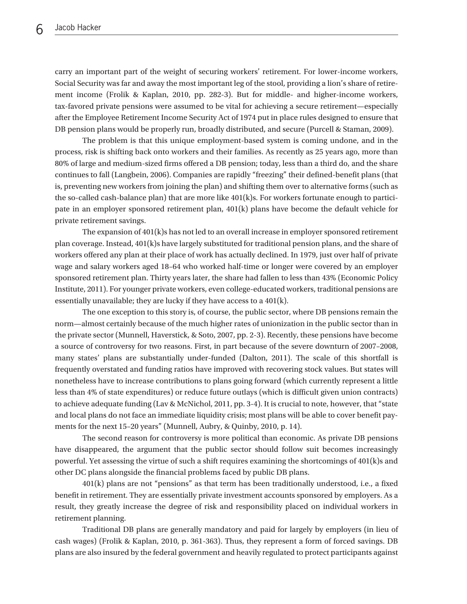carry an important part of the weight of securing workers' retirement. For lower-income workers, Social Security was far and away the most important leg of the stool, providing a lion's share of retirement income (Frolik & Kaplan, 2010, pp. 282-3). But for middle- and higher-income workers, tax-favored private pensions were assumed to be vital for achieving a secure retirement—especially after the Employee Retirement Income Security Act of 1974 put in place rules designed to ensure that DB pension plans would be properly run, broadly distributed, and secure (Purcell & Staman, 2009).

The problem is that this unique employment-based system is coming undone, and in the process, risk is shifting back onto workers and their families. As recently as 25 years ago, more than 80% of large and medium-sized firms offered a DB pension; today, less than a third do, and the share continues to fall (Langbein, 2006). Companies are rapidly "freezing" their defined-benefit plans (that is, preventing new workers from joining the plan) and shifting them over to alternative forms (such as the so-called cash-balance plan) that are more like 401(k)s. For workers fortunate enough to participate in an employer sponsored retirement plan, 401(k) plans have become the default vehicle for private retirement savings.

The expansion of  $401(k)$ s has not led to an overall increase in employer sponsored retirement plan coverage. Instead,  $401(k)$ s have largely substituted for traditional pension plans, and the share of workers offered any plan at their place of work has actually declined. In 1979, just over half of private wage and salary workers aged 18–64 who worked half-time or longer were covered by an employer sponsored retirement plan. Thirty years later, the share had fallen to less than 43% (Economic Policy Institute, 2011). For younger private workers, even college-educated workers, traditional pensions are essentially unavailable; they are lucky if they have access to a 401(k).

The one exception to this story is, of course, the public sector, where DB pensions remain the norm—almost certainly because of the much higher rates of unionization in the public sector than in the private sector (Munnell, Haverstick, & Soto, 2007, pp. 2-3). Recently, these pensions have become a source of controversy for two reasons. First, in part because of the severe downturn of 2007–2008, many states' plans are substantially under-funded (Dalton, 2011). The scale of this shortfall is frequently overstated and funding ratios have improved with recovering stock values. But states will nonetheless have to increase contributions to plans going forward (which currently represent a little less than 4% of state expenditures) or reduce future outlays (which is difficult given union contracts) to achieve adequate funding (Lav & McNichol, 2011, pp. 3-4). It is crucial to note, however, that "state and local plans do not face an immediate liquidity crisis; most plans will be able to cover benefit payments for the next 15–20 years" (Munnell, Aubry, & Quinby, 2010, p. 14).

The second reason for controversy is more political than economic. As private DB pensions have disappeared, the argument that the public sector should follow suit becomes increasingly powerful. Yet assessing the virtue of such a shift requires examining the shortcomings of 401(k)s and other DC plans alongside the financial problems faced by public DB plans.

401(k) plans are not "pensions" as that term has been traditionally understood, i.e., a fixed benefit in retirement. They are essentially private investment accounts sponsored by employers. As a result, they greatly increase the degree of risk and responsibility placed on individual workers in retirement planning.

Traditional DB plans are generally mandatory and paid for largely by employers (in lieu of cash wages) (Frolik & Kaplan, 2010, p. 361-363). Thus, they represent a form of forced savings. DB plans are also insured by the federal government and heavily regulated to protect participants against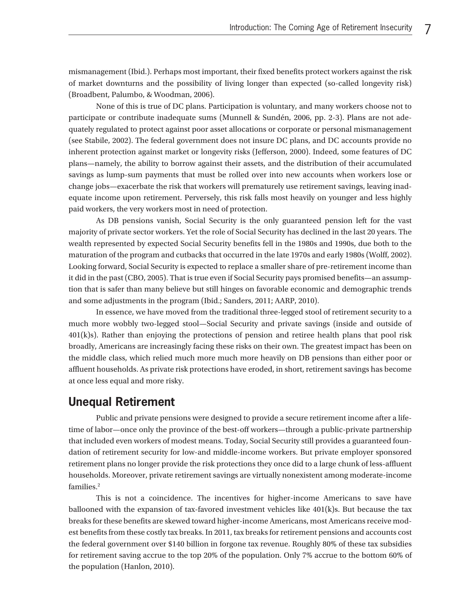mismanagement (Ibid.). Perhaps most important, their fixed benefits protect workers against the risk of market downturns and the possibility of living longer than expected (so-called longevity risk) (Broadbent, Palumbo, & Woodman, 2006).

None of this is true of DC plans. Participation is voluntary, and many workers choose not to participate or contribute inadequate sums (Munnell & Sundén, 2006, pp. 2-3). Plans are not adequately regulated to protect against poor asset allocations or corporate or personal mismanagement (see Stabile, 2002). The federal government does not insure DC plans, and DC accounts provide no inherent protection against market or longevity risks (Jefferson, 2000). Indeed, some features of DC plans—namely, the ability to borrow against their assets, and the distribution of their accumulated savings as lump-sum payments that must be rolled over into new accounts when workers lose or change jobs—exacerbate the risk that workers will prematurely use retirement savings, leaving inadequate income upon retirement. Perversely, this risk falls most heavily on younger and less highly paid workers, the very workers most in need of protection.

As DB pensions vanish, Social Security is the only guaranteed pension left for the vast majority of private sector workers. Yet the role of Social Security has declined in the last 20 years. The wealth represented by expected Social Security benefits fell in the 1980s and 1990s, due both to the maturation of the program and cutbacks that occurred in the late 1970s and early 1980s (Wolff, 2002). Looking forward, Social Security is expected to replace a smaller share of pre-retirement income than it did in the past (CBO, 2005). That is true even if Social Security pays promised benefits—an assumption that is safer than many believe but still hinges on favorable economic and demographic trends and some adjustments in the program (Ibid.; Sanders, 2011; AARP, 2010).

In essence, we have moved from the traditional three-legged stool of retirement security to a much more wobbly two-legged stool—Social Security and private savings (inside and outside of 401(k)s). Rather than enjoying the protections of pension and retiree health plans that pool risk broadly, Americans are increasingly facing these risks on their own. The greatest impact has been on the middle class, which relied much more much more heavily on DB pensions than either poor or affluent households. As private risk protections have eroded, in short, retirement savings has become at once less equal and more risky.

#### **Unequal Retirement**

Public and private pensions were designed to provide a secure retirement income after a lifetime of labor—once only the province of the best-off workers—through a public-private partnership that included even workers of modest means. Today, Social Security still provides a guaranteed foundation of retirement security for low-and middle-income workers. But private employer sponsored retirement plans no longer provide the risk protections they once did to a large chunk of less-affluent households. Moreover, private retirement savings are virtually nonexistent among moderate-income families.<sup>2</sup>

This is not a coincidence. The incentives for higher-income Americans to save have ballooned with the expansion of tax-favored investment vehicles like 401(k)s. But because the tax breaks for these benefits are skewed toward higher-income Americans, most Americans receive modest benefits from these costly tax breaks. In 2011, tax breaks for retirement pensions and accounts cost the federal government over \$140 billion in forgone tax revenue. Roughly 80% of these tax subsidies for retirement saving accrue to the top 20% of the population. Only 7% accrue to the bottom 60% of the population (Hanlon, 2010).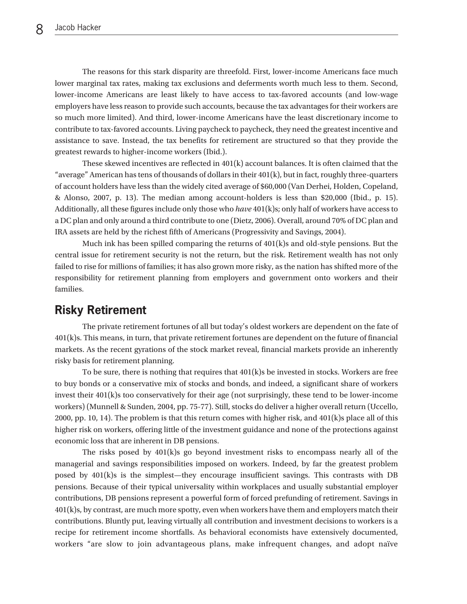The reasons for this stark disparity are threefold. First, lower-income Americans face much lower marginal tax rates, making tax exclusions and deferments worth much less to them. Second, lower-income Americans are least likely to have access to tax-favored accounts (and low-wage employers have less reason to provide such accounts, because the tax advantages for their workers are so much more limited). And third, lower-income Americans have the least discretionary income to contribute to tax-favored accounts. Living paycheck to paycheck, they need the greatest incentive and assistance to save. Instead, the tax benefits for retirement are structured so that they provide the greatest rewards to higher-income workers (Ibid.).

These skewed incentives are reflected in  $401(k)$  account balances. It is often claimed that the "average" American has tens of thousands of dollars in their 401(k), but in fact, roughly three-quarters of account holders have less than the widely cited average of \$60,000 (Van Derhei, Holden, Copeland, & Alonso, 2007, p. 13). The median among account-holders is less than \$20,000 (Ibid., p. 15). Additionally, all these figures include only those who *have* 401(k)s; only half of workers have access to a DC plan and only around a third contribute to one (Dietz, 2006). Overall, around 70% of DC plan and IRA assets are held by the richest fifth of Americans (Progressivity and Savings, 2004).

Much ink has been spilled comparing the returns of  $401(k)$ s and old-style pensions. But the central issue for retirement security is not the return, but the risk. Retirement wealth has not only failed to rise for millions of families; it has also grown more risky, as the nation has shifted more of the responsibility for retirement planning from employers and government onto workers and their families.

#### **Risky Retirement**

The private retirement fortunes of all but today's oldest workers are dependent on the fate of 401(k)s. This means, in turn, that private retirement fortunes are dependent on the future of financial markets. As the recent gyrations of the stock market reveal, financial markets provide an inherently risky basis for retirement planning.

To be sure, there is nothing that requires that  $401(k)$ s be invested in stocks. Workers are free to buy bonds or a conservative mix of stocks and bonds, and indeed, a significant share of workers invest their  $401(k)$ s too conservatively for their age (not surprisingly, these tend to be lower-income workers) (Munnell & Sunden, 2004, pp. 75-77). Still, stocks do deliver a higher overall return (Uccello, 2000, pp. 10, 14). The problem is that this return comes with higher risk, and  $401(k)$ s place all of this higher risk on workers, offering little of the investment guidance and none of the protections against economic loss that are inherent in DB pensions.

The risks posed by  $401(k)s$  go beyond investment risks to encompass nearly all of the managerial and savings responsibilities imposed on workers. Indeed, by far the greatest problem posed by 401(k)s is the simplest—they encourage insufficient savings. This contrasts with DB pensions. Because of their typical universality within workplaces and usually substantial employer contributions, DB pensions represent a powerful form of forced prefunding of retirement. Savings in 401(k)s, by contrast, are much more spotty, even when workers have them and employers match their contributions. Bluntly put, leaving virtually all contribution and investment decisions to workers is a recipe for retirement income shortfalls. As behavioral economists have extensively documented, workers "are slow to join advantageous plans, make infrequent changes, and adopt naïve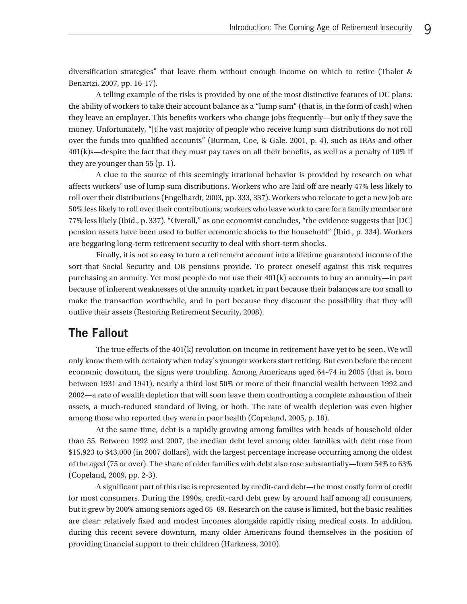diversification strategies" that leave them without enough income on which to retire (Thaler & Benartzi, 2007, pp. 16-17).

A telling example of the risks is provided by one of the most distinctive features of DC plans: the ability of workers to take their account balance as a "lump sum" (that is, in the form of cash) when they leave an employer. This benefits workers who change jobs frequently—but only if they save the money. Unfortunately, "[t]he vast majority of people who receive lump sum distributions do not roll over the funds into qualified accounts" (Burman, Coe, & Gale, 2001, p. 4), such as IRAs and other 401(k)s—despite the fact that they must pay taxes on all their benefits, as well as a penalty of 10% if they are younger than 55 (p. 1).

A clue to the source of this seemingly irrational behavior is provided by research on what affects workers' use of lump sum distributions. Workers who are laid off are nearly 47% less likely to roll over their distributions (Engelhardt, 2003, pp. 333, 337). Workers who relocate to get a new job are 50% less likely to roll over their contributions; workers who leave work to care for a family member are 77% less likely (Ibid., p. 337). "Overall," as one economist concludes, "the evidence suggests that [DC] pension assets have been used to buffer economic shocks to the household" (Ibid., p. 334). Workers are beggaring long-term retirement security to deal with short-term shocks.

Finally, it is not so easy to turn a retirement account into a lifetime guaranteed income of the sort that Social Security and DB pensions provide. To protect oneself against this risk requires purchasing an annuity. Yet most people do not use their 401(k) accounts to buy an annuity—in part because of inherent weaknesses of the annuity market, in part because their balances are too small to make the transaction worthwhile, and in part because they discount the possibility that they will outlive their assets (Restoring Retirement Security, 2008).

#### **The Fallout**

The true effects of the 401(k) revolution on income in retirement have yet to be seen. We will only know them with certainty when today's younger workers start retiring. But even before the recent economic downturn, the signs were troubling. Among Americans aged 64–74 in 2005 (that is, born between 1931 and 1941), nearly a third lost 50% or more of their financial wealth between 1992 and 2002—a rate of wealth depletion that will soon leave them confronting a complete exhaustion of their assets, a much-reduced standard of living, or both. The rate of wealth depletion was even higher among those who reported they were in poor health (Copeland, 2005, p. 18).

At the same time, debt is a rapidly growing among families with heads of household older than 55. Between 1992 and 2007, the median debt level among older families with debt rose from \$15,923 to \$43,000 (in 2007 dollars), with the largest percentage increase occurring among the oldest of the aged (75 or over). The share of older families with debt also rose substantially—from 54% to 63% (Copeland, 2009, pp. 2-3).

A significant part of this rise is represented by credit-card debt—the most costly form of credit for most consumers. During the 1990s, credit-card debt grew by around half among all consumers, but it grew by 200% among seniors aged 65–69. Research on the cause is limited, but the basic realities are clear: relatively fixed and modest incomes alongside rapidly rising medical costs. In addition, during this recent severe downturn, many older Americans found themselves in the position of providing financial support to their children (Harkness, 2010).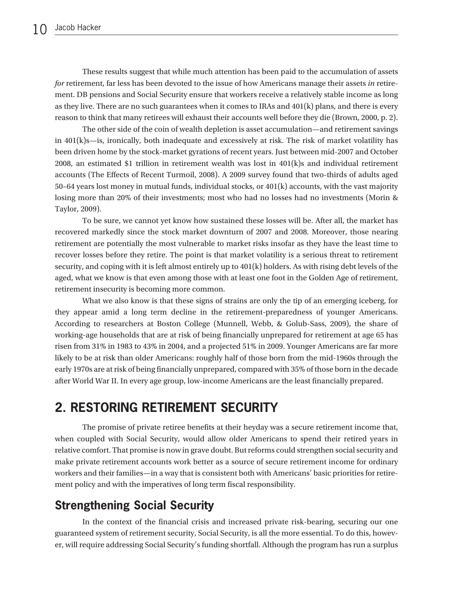These results suggest that while much attention has been paid to the accumulation of assets *for* retirement, far less has been devoted to the issue of how Americans manage their assets *in* retirement. DB pensions and Social Security ensure that workers receive a relatively stable income as long as they live. There are no such guarantees when it comes to IRAs and 401(k) plans, and there is every reason to think that many retirees will exhaust their accounts well before they die (Brown, 2000, p. 2).

The other side of the coin of wealth depletion is asset accumulation—and retirement savings in  $401(k)s$ —is, ironically, both inadequate and excessively at risk. The risk of market volatility has been driven home by the stock-market gyrations of recent years. Just between mid-2007 and October 2008, an estimated \$1 trillion in retirement wealth was lost in 401(k)s and individual retirement accounts (The Effects of Recent Turmoil, 2008). A 2009 survey found that two-thirds of adults aged 50–64 years lost money in mutual funds, individual stocks, or 401(k) accounts, with the vast majority losing more than 20% of their investments; most who had no losses had no investments (Morin & Taylor, 2009).

To be sure, we cannot yet know how sustained these losses will be. After all, the market has recovered markedly since the stock market downturn of 2007 and 2008. Moreover, those nearing retirement are potentially the most vulnerable to market risks insofar as they have the least time to recover losses before they retire. The point is that market volatility is a serious threat to retirement security, and coping with it is left almost entirely up to  $401(k)$  holders. As with rising debt levels of the aged, what we know is that even among those with at least one foot in the Golden Age of retirement, retirement insecurity is becoming more common.

What we also know is that these signs of strains are only the tip of an emerging iceberg, for they appear amid a long term decline in the retirement-preparedness of younger Americans. According to researchers at Boston College (Munnell, Webb, & Golub-Sass, 2009), the share of working-age households that are at risk of being financially unprepared for retirement at age 65 has risen from 31% in 1983 to 43% in 2004, and a projected 51% in 2009. Younger Americans are far more likely to be at risk than older Americans: roughly half of those born from the mid-1960s through the early 1970s are at risk of being financially unprepared, compared with 35% of those born in the decade after World War II. In every age group, low-income Americans are the least financially prepared.

## **2. RESTORING RETIREMENT SECURITY**

The promise of private retiree benefits at their heyday was a secure retirement income that, when coupled with Social Security, would allow older Americans to spend their retired years in relative comfort. That promise is now in grave doubt. But reforms could strengthen social security and make private retirement accounts work better as a source of secure retirement income for ordinary workers and their families—in a way that is consistent both with Americans' basic priorities for retirement policy and with the imperatives of long term fiscal responsibility.

## **Strengthening Social Security**

In the context of the financial crisis and increased private risk-bearing, securing our one guaranteed system of retirement security, Social Security, is all the more essential. To do this, however, will require addressing Social Security's funding shortfall. Although the program has run a surplus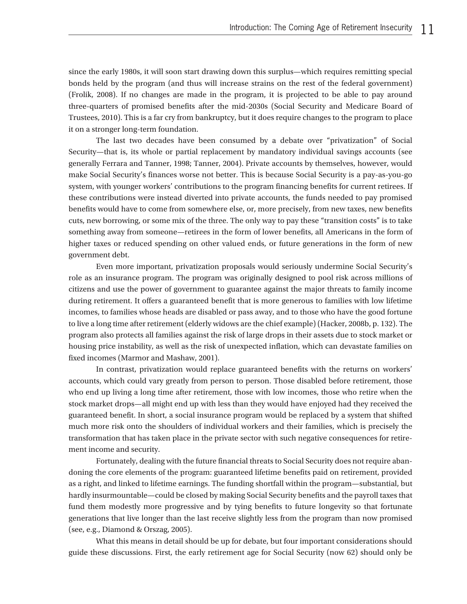since the early 1980s, it will soon start drawing down this surplus—which requires remitting special bonds held by the program (and thus will increase strains on the rest of the federal government) (Frolik, 2008). If no changes are made in the program, it is projected to be able to pay around three-quarters of promised benefits after the mid-2030s (Social Security and Medicare Board of Trustees, 2010). This is a far cry from bankruptcy, but it does require changes to the program to place it on a stronger long-term foundation.

The last two decades have been consumed by a debate over "privatization" of Social Security—that is, its whole or partial replacement by mandatory individual savings accounts (see generally Ferrara and Tanner, 1998; Tanner, 2004). Private accounts by themselves, however, would make Social Security's finances worse not better. This is because Social Security is a pay-as-you-go system, with younger workers' contributions to the program financing benefits for current retirees. If these contributions were instead diverted into private accounts, the funds needed to pay promised benefits would have to come from somewhere else, or, more precisely, from new taxes, new benefits cuts, new borrowing, or some mix of the three. The only way to pay these "transition costs" is to take something away from someone—retirees in the form of lower benefits, all Americans in the form of higher taxes or reduced spending on other valued ends, or future generations in the form of new government debt.

Even more important, privatization proposals would seriously undermine Social Security's role as an insurance program. The program was originally designed to pool risk across millions of citizens and use the power of government to guarantee against the major threats to family income during retirement. It offers a guaranteed benefit that is more generous to families with low lifetime incomes, to families whose heads are disabled or pass away, and to those who have the good fortune to live a long time after retirement (elderly widows are the chief example) (Hacker, 2008b, p. 132). The program also protects all families against the risk of large drops in their assets due to stock market or housing price instability, as well as the risk of unexpected inflation, which can devastate families on fixed incomes (Marmor and Mashaw, 2001).

In contrast, privatization would replace guaranteed benefits with the returns on workers' accounts, which could vary greatly from person to person. Those disabled before retirement, those who end up living a long time after retirement, those with low incomes, those who retire when the stock market drops—all might end up with less than they would have enjoyed had they received the guaranteed benefit. In short, a social insurance program would be replaced by a system that shifted much more risk onto the shoulders of individual workers and their families, which is precisely the transformation that has taken place in the private sector with such negative consequences for retirement income and security.

Fortunately, dealing with the future financial threats to Social Security does not require abandoning the core elements of the program: guaranteed lifetime benefits paid on retirement, provided as a right, and linked to lifetime earnings. The funding shortfall within the program—substantial, but hardly insurmountable—could be closed by making Social Security benefits and the payroll taxes that fund them modestly more progressive and by tying benefits to future longevity so that fortunate generations that live longer than the last receive slightly less from the program than now promised (see, e.g., Diamond & Orszag, 2005).

What this means in detail should be up for debate, but four important considerations should guide these discussions. First, the early retirement age for Social Security (now 62) should only be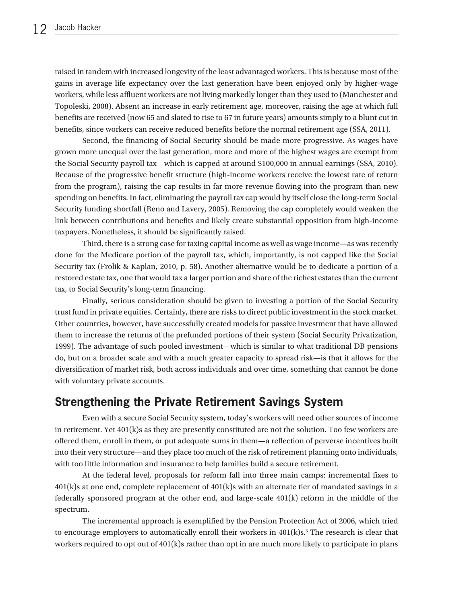raised in tandem with increased longevity of the least advantaged workers. This is because most of the gains in average life expectancy over the last generation have been enjoyed only by higher-wage workers, while less affluent workers are not living markedly longer than they used to (Manchester and Topoleski, 2008). Absent an increase in early retirement age, moreover, raising the age at which full benefits are received (now 65 and slated to rise to 67 in future years) amounts simply to a blunt cut in benefits, since workers can receive reduced benefits before the normal retirement age (SSA, 2011).

Second, the financing of Social Security should be made more progressive. As wages have grown more unequal over the last generation, more and more of the highest wages are exempt from the Social Security payroll tax—which is capped at around \$100,000 in annual earnings (SSA, 2010). Because of the progressive benefit structure (high-income workers receive the lowest rate of return from the program), raising the cap results in far more revenue flowing into the program than new spending on benefits. In fact, eliminating the payroll tax cap would by itself close the long-term Social Security funding shortfall (Reno and Lavery, 2005). Removing the cap completely would weaken the link between contributions and benefits and likely create substantial opposition from high-income taxpayers. Nonetheless, it should be significantly raised.

Third, there is a strong case for taxing capital income as well as wage income—as was recently done for the Medicare portion of the payroll tax, which, importantly, is not capped like the Social Security tax (Frolik & Kaplan, 2010, p. 58). Another alternative would be to dedicate a portion of a restored estate tax, one that would tax a larger portion and share of the richest estates than the current tax, to Social Security's long-term financing.

Finally, serious consideration should be given to investing a portion of the Social Security trust fund in private equities. Certainly, there are risks to direct public investment in the stock market. Other countries, however, have successfully created models for passive investment that have allowed them to increase the returns of the prefunded portions of their system (Social Security Privatization, 1999). The advantage of such pooled investment—which is similar to what traditional DB pensions do, but on a broader scale and with a much greater capacity to spread risk—is that it allows for the diversification of market risk, both across individuals and over time, something that cannot be done with voluntary private accounts.

#### **Strengthening the Private Retirement Savings System**

Even with a secure Social Security system, today's workers will need other sources of income in retirement. Yet 401(k)s as they are presently constituted are not the solution. Too few workers are offered them, enroll in them, or put adequate sums in them—a reflection of perverse incentives built into their very structure—and they place too much of the risk of retirement planning onto individuals, with too little information and insurance to help families build a secure retirement.

At the federal level, proposals for reform fall into three main camps: incremental fixes to 401(k)s at one end, complete replacement of 401(k)s with an alternate tier of mandated savings in a federally sponsored program at the other end, and large-scale 401(k) reform in the middle of the spectrum.

The incremental approach is exemplified by the Pension Protection Act of 2006, which tried to encourage employers to automatically enroll their workers in  $401(k)s$ .<sup>3</sup> The research is clear that workers required to opt out of  $401(k)$ s rather than opt in are much more likely to participate in plans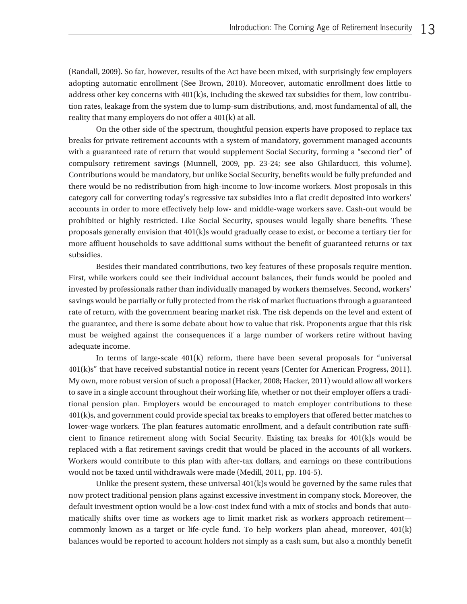(Randall, 2009). So far, however, results of the Act have been mixed, with surprisingly few employers adopting automatic enrollment (See Brown, 2010). Moreover, automatic enrollment does little to address other key concerns with 401(k)s, including the skewed tax subsidies for them, low contribution rates, leakage from the system due to lump-sum distributions, and, most fundamental of all, the reality that many employers do not offer a 401(k) at all.

On the other side of the spectrum, thoughtful pension experts have proposed to replace tax breaks for private retirement accounts with a system of mandatory, government managed accounts with a guaranteed rate of return that would supplement Social Security, forming a "second tier" of compulsory retirement savings (Munnell, 2009, pp. 23-24; see also Ghilarducci, this volume). Contributions would be mandatory, but unlike Social Security, benefits would be fully prefunded and there would be no redistribution from high-income to low-income workers. Most proposals in this category call for converting today's regressive tax subsidies into a flat credit deposited into workers' accounts in order to more effectively help low- and middle-wage workers save. Cash-out would be prohibited or highly restricted. Like Social Security, spouses would legally share benefits. These proposals generally envision that 401(k)s would gradually cease to exist, or become a tertiary tier for more affluent households to save additional sums without the benefit of guaranteed returns or tax subsidies.

Besides their mandated contributions, two key features of these proposals require mention. First, while workers could see their individual account balances, their funds would be pooled and invested by professionals rather than individually managed by workers themselves. Second, workers' savings would be partially or fully protected from the risk of market fluctuations through a guaranteed rate of return, with the government bearing market risk. The risk depends on the level and extent of the guarantee, and there is some debate about how to value that risk. Proponents argue that this risk must be weighed against the consequences if a large number of workers retire without having adequate income.

In terms of large-scale 401(k) reform, there have been several proposals for "universal 401(k)s" that have received substantial notice in recent years (Center for American Progress, 2011). My own, more robust version of such a proposal (Hacker, 2008; Hacker, 2011) would allow all workers to save in a single account throughout their working life, whether or not their employer offers a traditional pension plan. Employers would be encouraged to match employer contributions to these 401(k)s, and government could provide special tax breaks to employers that offered better matches to lower-wage workers. The plan features automatic enrollment, and a default contribution rate sufficient to finance retirement along with Social Security. Existing tax breaks for 401(k)s would be replaced with a flat retirement savings credit that would be placed in the accounts of all workers. Workers would contribute to this plan with after-tax dollars, and earnings on these contributions would not be taxed until withdrawals were made (Medill, 2011, pp. 104-5).

Unlike the present system, these universal  $401(k)$ s would be governed by the same rules that now protect traditional pension plans against excessive investment in company stock. Moreover, the default investment option would be a low-cost index fund with a mix of stocks and bonds that automatically shifts over time as workers age to limit market risk as workers approach retirement commonly known as a target or life-cycle fund. To help workers plan ahead, moreover, 401(k) balances would be reported to account holders not simply as a cash sum, but also a monthly benefit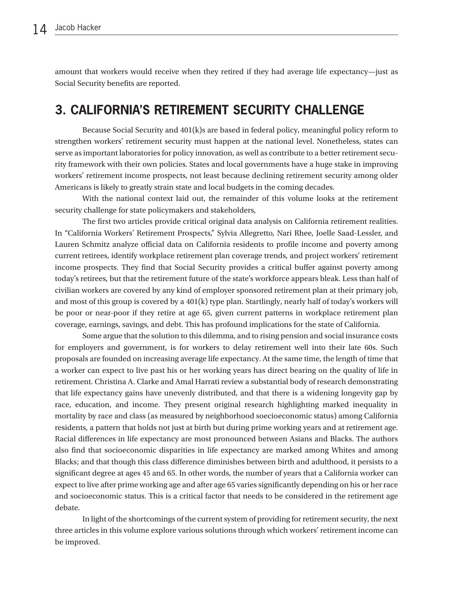amount that workers would receive when they retired if they had average life expectancy—just as Social Security benefits are reported.

## **3. CALIFORNIA'S RETIREMENT SECURITY CHALLENGE**

Because Social Security and 401(k)s are based in federal policy, meaningful policy reform to strengthen workers' retirement security must happen at the national level. Nonetheless, states can serve as important laboratories for policy innovation, as well as contribute to a better retirement security framework with their own policies. States and local governments have a huge stake in improving workers' retirement income prospects, not least because declining retirement security among older Americans is likely to greatly strain state and local budgets in the coming decades.

With the national context laid out, the remainder of this volume looks at the retirement security challenge for state policymakers and stakeholders,

The first two articles provide critical original data analysis on California retirement realities. In "California Workers' Retirement Prospects," Sylvia Allegretto, Nari Rhee, Joelle Saad-Lessler, and Lauren Schmitz analyze official data on California residents to profile income and poverty among current retirees, identify workplace retirement plan coverage trends, and project workers' retirement income prospects. They find that Social Security provides a critical buffer against poverty among today's retirees, but that the retirement future of the state's workforce appears bleak. Less than half of civilian workers are covered by any kind of employer sponsored retirement plan at their primary job, and most of this group is covered by a 401(k) type plan. Startlingly, nearly half of today's workers will be poor or near-poor if they retire at age 65, given current patterns in workplace retirement plan coverage, earnings, savings, and debt. This has profound implications for the state of California.

Some argue that the solution to this dilemma, and to rising pension and social insurance costs for employers and government, is for workers to delay retirement well into their late 60s. Such proposals are founded on increasing average life expectancy. At the same time, the length of time that a worker can expect to live past his or her working years has direct bearing on the quality of life in retirement. Christina A. Clarke and Amal Harrati review a substantial body of research demonstrating that life expectancy gains have unevenly distributed, and that there is a widening longevity gap by race, education, and income. They present original research highlighting marked inequality in mortality by race and class (as measured by neighborhood soecioeconomic status) among California residents, a pattern that holds not just at birth but during prime working years and at retirement age. Racial differences in life expectancy are most pronounced between Asians and Blacks. The authors also find that socioeconomic disparities in life expectancy are marked among Whites and among Blacks; and that though this class difference diminishes between birth and adulthood, it persists to a significant degree at ages 45 and 65. In other words, the number of years that a California worker can expect to live after prime working age and after age 65 varies significantly depending on his or her race and socioeconomic status. This is a critical factor that needs to be considered in the retirement age debate.

In light of the shortcomings of the current system of providing for retirement security, the next three articles in this volume explore various solutions through which workers' retirement income can be improved.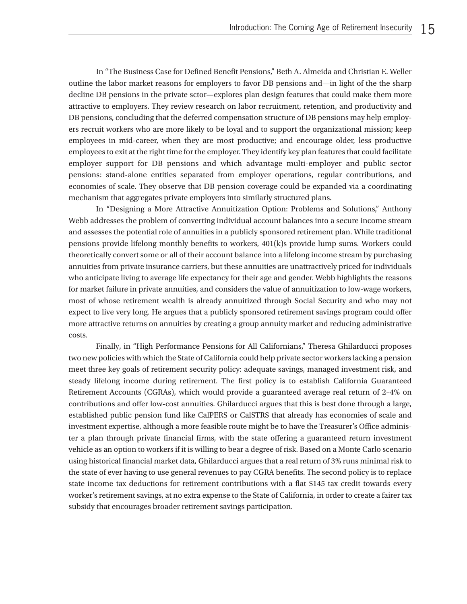In "The Business Case for Defined Benefit Pensions," Beth A. Almeida and Christian E. Weller outline the labor market reasons for employers to favor DB pensions and—in light of the the sharp decline DB pensions in the private sctor—explores plan design features that could make them more attractive to employers. They review research on labor recruitment, retention, and productivity and DB pensions, concluding that the deferred compensation structure of DB pensions may help employers recruit workers who are more likely to be loyal and to support the organizational mission; keep employees in mid-career, when they are most productive; and encourage older, less productive employees to exit at the right time for the employer. They identify key plan features that could facilitate employer support for DB pensions and which advantage multi-employer and public sector pensions: stand-alone entities separated from employer operations, regular contributions, and economies of scale. They observe that DB pension coverage could be expanded via a coordinating mechanism that aggregates private employers into similarly structured plans.

In "Designing a More Attractive Annuitization Option: Problems and Solutions," Anthony Webb addresses the problem of converting individual account balances into a secure income stream and assesses the potential role of annuities in a publicly sponsored retirement plan. While traditional pensions provide lifelong monthly benefits to workers, 401(k)s provide lump sums. Workers could theoretically convert some or all of their account balance into a lifelong income stream by purchasing annuities from private insurance carriers, but these annuities are unattractively priced for individuals who anticipate living to average life expectancy for their age and gender. Webb highlights the reasons for market failure in private annuities, and considers the value of annuitization to low-wage workers, most of whose retirement wealth is already annuitized through Social Security and who may not expect to live very long. He argues that a publicly sponsored retirement savings program could offer more attractive returns on annuities by creating a group annuity market and reducing administrative costs.

Finally, in "High Performance Pensions for All Californians," Theresa Ghilarducci proposes two new policies with which the State of California could help private sector workers lacking a pension meet three key goals of retirement security policy: adequate savings, managed investment risk, and steady lifelong income during retirement. The first policy is to establish California Guaranteed Retirement Accounts (CGRAs), which would provide a guaranteed average real return of 2–4% on contributions and offer low-cost annuities. Ghilarducci argues that this is best done through a large, established public pension fund like CalPERS or CalSTRS that already has economies of scale and investment expertise, although a more feasible route might be to have the Treasurer's Office administer a plan through private financial firms, with the state offering a guaranteed return investment vehicle as an option to workers if it is willing to bear a degree of risk. Based on a Monte Carlo scenario using historical financial market data, Ghilarducci argues that a real return of 3% runs minimal risk to the state of ever having to use general revenues to pay CGRA benefits. The second policy is to replace state income tax deductions for retirement contributions with a flat \$145 tax credit towards every worker's retirement savings, at no extra expense to the State of California, in order to create a fairer tax subsidy that encourages broader retirement savings participation.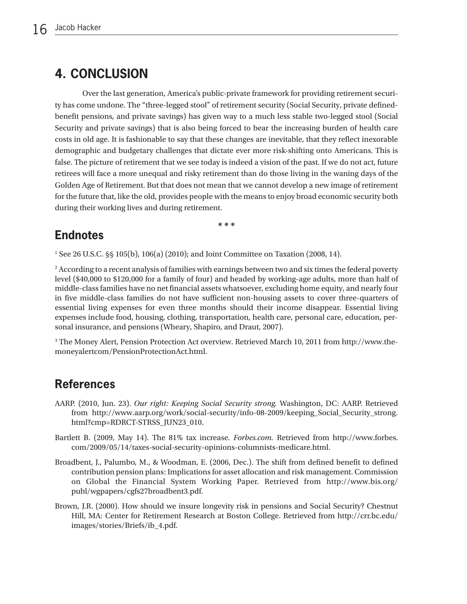## **4. CONCLUSION**

Over the last generation, America's public-private framework for providing retirement security has come undone. The "three-legged stool" of retirement security (Social Security, private definedbenefit pensions, and private savings) has given way to a much less stable two-legged stool (Social Security and private savings) that is also being forced to bear the increasing burden of health care costs in old age. It is fashionable to say that these changes are inevitable, that they reflect inexorable demographic and budgetary challenges that dictate ever more risk-shifting onto Americans. This is false. The picture of retirement that we see today is indeed a vision of the past. If we do not act, future retirees will face a more unequal and risky retirement than do those living in the waning days of the Golden Age of Retirement. But that does not mean that we cannot develop a new image of retirement for the future that, like the old, provides people with the means to enjoy broad economic security both during their working lives and during retirement.

**\* \* \***

## **Endnotes**

<sup>1</sup> See 26 U.S.C. §§ 105(b), 106(a) (2010); and Joint Committee on Taxation (2008, 14).

<sup>2</sup> According to a recent analysis of families with earnings between two and six times the federal poverty level (\$40,000 to \$120,000 for a family of four) and headed by working-age adults, more than half of middle-class families have no net financial assets whatsoever, excluding home equity, and nearly four in five middle-class families do not have sufficient non-housing assets to cover three-quarters of essential living expenses for even three months should their income disappear. Essential living expenses include food, housing, clothing, transportation, health care, personal care, education, personal insurance, and pensions (Wheary, Shapiro, and Draut, 2007).

<sup>3</sup> [The Money Alert, Pension Protection Act overview. Retrieved March 10, 2011 from http://www.the](http://www.themoneyalert.com/PensionProtectionAct.html)moneyalertcom/PensionProtectionAct.html.

### **References**

- AARP. (2010, Jun. 23). *Our right: Keeping Social Security strong.* Washington, DC: AARP. Retrieved [from http://www.aarp.org/work/social-security/info-08-2009/keeping\\_Social\\_Security\\_strong.](http://www.aarp.org/work/social-security/info-08-2009/keeping_Social_Security_strong.html?cmp=RDRCT-STRSS_JUN23_010) html?cmp=RDRCT-STRSS\_JUN23\_010.
- Bartlett B. (2009, May 14). The 81% tax increase. *Forbes.com.* Retrieved from [http://www.forbes.](http://www.forbes.com/2009/05/14/taxes-social-security-opinions-columnists-medicare.html) [com/2009/05/14/taxes-social-security-opinions-columnists-medicare.html.](http://www.forbes.com/2009/05/14/taxes-social-security-opinions-columnists-medicare.html)
- Broadbent, J., Palumbo, M., & Woodman, E. (2006, Dec.). The shift from defined benefit to defined contribution pension plans: Implications for asset allocation and risk management. Commission on Global the Financial System Working Paper. Retrieved from [http://www.bis.org/](http://www.bis.org/publ/wgpapers/cgfs27broadbent3.pdf) [publ/wgpapers/cgfs27broadbent3.pdf.](http://www.bis.org/publ/wgpapers/cgfs27broadbent3.pdf)
- Brown, J.R. (2000). How should we insure longevity risk in pensions and Social Security? Chestnut Hill, MA: Center for Retirement Research at Boston College. Retrieved from [http://crr.bc.edu/](http://crr.bc.edu/images/stories/Briefs/ib_4.pdf) [images/stories/Briefs/ib\\_4.pdf.](http://crr.bc.edu/images/stories/Briefs/ib_4.pdf)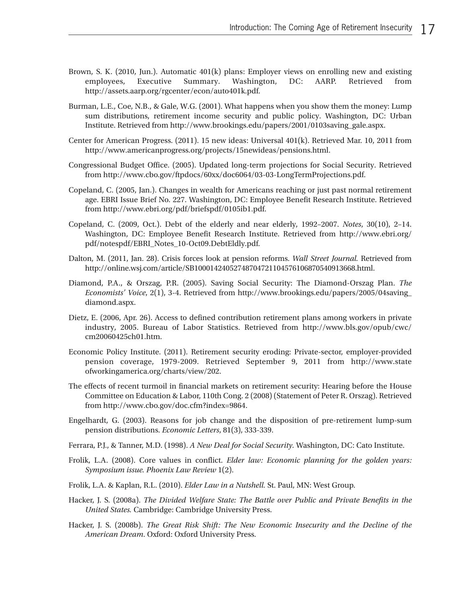- Brown, S. K. (2010, Jun.). Automatic 401(k) plans: Employer views on enrolling new and existing employees, Executive Summary. Washington, DC: AARP. Retrieved from http://assets.aarp.org/rgcenter/econ/auto401k.pdf.
- Burman, L.E., Coe, N.B., & Gale, W.G. (2001). What happens when you show them the money: Lump sum distributions, retirement income security and public policy. Washington, DC: Urban Institute. Retrieved from http://www.brookings.edu/papers/2001/0103saving\_gale.aspx.
- Center for American Progress. (2011). 15 new ideas: Universal 401(k). Retrieved Mar. 10, 2011 from http://www.americanprogress.org/projects/15newideas/pensions.html.
- Congressional Budget Office. (2005). Updated long-term projections for Social Security. Retrieved from http://www.cbo.gov/ftpdocs/60xx/doc6064/03-03-LongTermProjections.pdf.
- Copeland, C. (2005, Jan.). Changes in wealth for Americans reaching or just past normal retirement age. EBRI Issue Brief No. 227. Washington, DC: Employee Benefit Research Institute. Retrieved from http://www.ebri.org/pdf/briefspdf/0105ib1.pdf.
- Copeland, C. (2009, Oct.). Debt of the elderly and near elderly, 1992–2007. *Notes*, 30(10), 2–14. Washington, DC: Employee Benefit Research Institute. Retrieved from [http://www.ebri.org/](http://www.ebri.org/pdf/notespdf/EBRI_Notes_10-Oct09.DebtEldly.pdf) [pdf/notespdf/EBRI\\_Notes\\_10-Oct09.DebtEldly.pdf.](http://www.ebri.org/pdf/notespdf/EBRI_Notes_10-Oct09.DebtEldly.pdf)
- Dalton, M. (2011, Jan. 28). Crisis forces look at pension reforms. *Wall Street Journal.* Retrieved from http://online.wsj.com/article/SB10001424052748704721104576106870540913668.html.
- Diamond, P.A., & Orszag, P.R. (2005). Saving Social Security: The Diamond-Orszag Plan. *The Economists' Voice*, 2(1), 3-4. Retrieved from [http://www.brookings.edu/papers/2005/04saving\\_](http://www.brookings.edu/papers/2005/04saving_diamond.aspx) [diamond.aspx.](http://www.brookings.edu/papers/2005/04saving_diamond.aspx)
- Dietz, E. (2006, Apr. 26). Access to defined contribution retirement plans among workers in private industry, 2005. Bureau of Labor Statistics. Retrieved from [http://www.bls.gov/opub/cwc/](http://www.bls.gov/opub/cwc/cm20060425ch01.htm) [cm20060425ch01.htm.](http://www.bls.gov/opub/cwc/cm20060425ch01.htm)
- Economic Policy Institute. (2011). Retirement security eroding: Private-sector, employer-provided pension coverage, 1979-2009. Retrieved September 9, 2011 from [http://www.state](http://www.stateofworkingamerica.org/charts/view/202) [ofworkingamerica.org/charts/view/202.](http://www.stateofworkingamerica.org/charts/view/202)
- The effects of recent turmoil in financial markets on retirement security: Hearing before the House Committee on Education & Labor, 110th Cong. 2 (2008) (Statement of Peter R. Orszag). Retrieved from http://www.cbo.gov/doc.cfm?index=9864.
- Engelhardt, G. (2003). Reasons for job change and the disposition of pre-retirement lump-sum pension distributions. *Economic Letters*, 81(3), 333-339.
- Ferrara, P.J., & Tanner, M.D. (1998). *A New Deal for Social Security.* Washington, DC: Cato Institute.
- Frolik, L.A. (2008). Core values in conflict. *Elder law: Economic planning for the golden years: Symposium issue. Phoenix Law Review* 1(2).
- Frolik, L.A. & Kaplan, R.L. (2010). *Elder Law in a Nutshell.* St. Paul, MN: West Group.
- Hacker, J. S. (2008a). *The Divided Welfare State: The Battle over Public and Private Benefits in the United States.* Cambridge: Cambridge University Press.
- Hacker, J. S. (2008b). *The Great Risk Shift: The New Economic Insecurity and the Decline of the American Dream*. Oxford: Oxford University Press.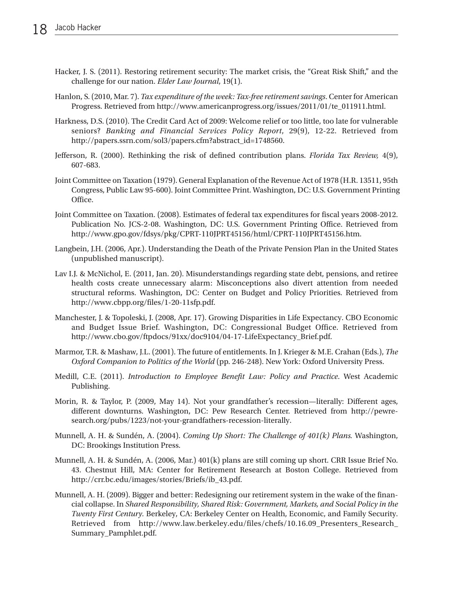- Hacker, J. S. (2011). Restoring retirement security: The market crisis, the "Great Risk Shift," and the challenge for our nation. *Elder Law Journal*, 19(1).
- Hanlon, S. (2010, Mar. 7). *Tax expenditure of the week: Tax-free retirement savings*. Center for American Progress. Retrieved from http://www.americanprogress.org/issues/2011/01/te\_011911.html.
- Harkness, D.S. (2010). The Credit Card Act of 2009: Welcome relief or too little, too late for vulnerable seniors? *Banking and Financial Services Policy Report*, 29(9), 12-22. Retrieved from http://papers.ssrn.com/sol3/papers.cfm?abstract\_id=1748560.
- Jefferson, R. (2000). Rethinking the risk of defined contribution plans. *Florida Tax Review,* 4(9), 607-683.
- Joint Committee on Taxation (1979). General Explanation of the Revenue Act of 1978 (H.R. 13511, 95th Congress, Public Law 95-600). Joint Committee Print. Washington, DC: U.S. Government Printing Office.
- Joint Committee on Taxation. (2008). Estimates of federal tax expenditures for fiscal years 2008-2012. Publication No. JCS-2-08. Washington, DC: U.S. Government Printing Office. Retrieved from http://www.gpo.gov/fdsys/pkg/CPRT-110JPRT45156/html/CPRT-110JPRT45156.htm.
- Langbein, J.H. (2006, Apr.). Understanding the Death of the Private Pension Plan in the United States (unpublished manuscript).
- Lav I.J. & McNichol, E. (2011, Jan. 20). Misunderstandings regarding state debt, pensions, and retiree health costs create unnecessary alarm: Misconceptions also divert attention from needed structural reforms. Washington, DC: Center on Budget and Policy Priorities. Retrieved from http://www.cbpp.org/files/1-20-11sfp.pdf.
- Manchester, J. & Topoleski, J. (2008, Apr. 17). Growing Disparities in Life Expectancy. CBO Economic and Budget Issue Brief. Washington, DC: Congressional Budget Office. Retrieved from http://www.cbo.gov/ftpdocs/91xx/doc9104/04-17-LifeExpectancy\_Brief.pdf.
- Marmor, T.R. & Mashaw, J.L. (2001). The future of entitlements. In J. Krieger & M.E. Crahan (Eds.), *The Oxford Companion to Politics of the World* (pp. 246-248). New York: Oxford University Press.
- Medill, C.E. (2011). *Introduction to Employee Benefit Law: Policy and Practice*. West Academic Publishing.
- Morin, R. & Taylor, P. (2009, May 14). Not your grandfather's recession—literally: Different ages, different downturns. Washington, DC: Pew Research Center. Retrieved from [http://pewre](http://pewresearch.org/pubs/1223/not-your-grandfathers-recession-literally)[search.org/pubs/1223/not-your-grandfathers-recession-literally.](http://pewresearch.org/pubs/1223/not-your-grandfathers-recession-literally)
- Munnell, A. H. & Sundén, A. (2004). *Coming Up Short: The Challenge of 401(k) Plans.* Washington, DC: Brookings Institution Press.
- Munnell, A. H. & Sundén, A. (2006, Mar.) 401(k) plans are still coming up short. CRR Issue Brief No. 43. Chestnut Hill, MA: Center for Retirement Research at Boston College. Retrieved from http://crr.bc.edu/images/stories/Briefs/ib\_43.pdf.
- Munnell, A. H. (2009). Bigger and better: Redesigning our retirement system in the wake of the financial collapse. In *Shared Responsibility, Shared Risk: Government, Markets, and Social Policy in the Twenty First Century.* Berkeley, CA: Berkeley Center on Health, Economic, and Family Security. Retrieved from [http://www.law.berkeley.edu/files/chefs/10.16.09\\_Presenters\\_Research\\_](http://www.law.berkeley.edu/files/chefs/10.16.09_Presenters_Research_Summary_Pamphlet.pdf) [Summary\\_Pamphlet.pdf.](http://www.law.berkeley.edu/files/chefs/10.16.09_Presenters_Research_Summary_Pamphlet.pdf)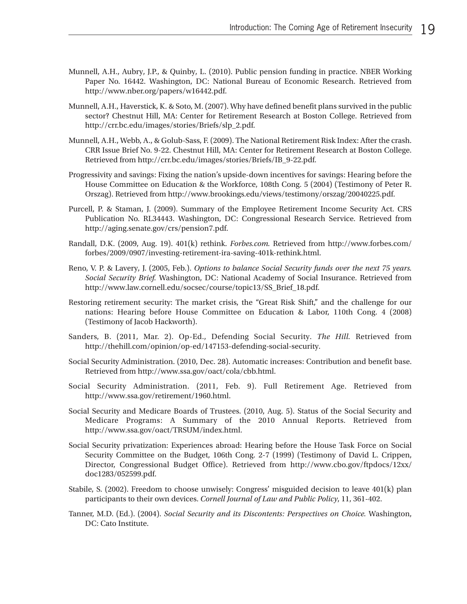- Munnell, A.H., Aubry, J.P., & Quinby, L. (2010). Public pension funding in practice. NBER Working Paper No. 16442. Washington, DC: National Bureau of Economic Research. Retrieved from http://www.nber.org/papers/w16442.pdf.
- Munnell, A.H., Haverstick, K. & Soto, M. (2007). Why have defined benefit plans survived in the public sector? Chestnut Hill, MA: Center for Retirement Research at Boston College. Retrieved from http://crr.bc.edu/images/stories/Briefs/slp\_2.pdf.
- Munnell, A.H., Webb, A., & Golub-Sass, F. (2009). The National Retirement Risk Index: After the crash. CRR Issue Brief No. 9-22. Chestnut Hill, MA: Center for Retirement Research at Boston College. Retrieved from http://crr.bc.edu/images/stories/Briefs/IB\_9-22.pdf.
- Progressivity and savings: Fixing the nation's upside-down incentives for savings: Hearing before the House Committee on Education & the Workforce, 108th Cong. 5 (2004) (Testimony of Peter R. Orszag). Retrieved from http://www.brookings.edu/views/testimony/orszag/20040225.pdf.
- Purcell, P. & Staman, J. (2009). Summary of the Employee Retirement Income Security Act. CRS Publication No. RL34443. Washington, DC: Congressional Research Service. Retrieved from http://aging.senate.gov/crs/pension7.pdf.
- Randall, D.K. (2009, Aug. 19). 401(k) rethink. *Forbes.com.* Retrieved from [http://www.forbes.com/](http://www.forbes.com/forbes/2009/0907/investing-retirement-ira-saving-401k-rethink.html) [forbes/2009/0907/investing-retirement-ira-saving-401k-rethink.](http://www.forbes.com/forbes/2009/0907/investing-retirement-ira-saving-401k-rethink.html)html.
- Reno, V. P. & Lavery, J. (2005, Feb.). *Options to balance Social Security funds over the next 75 years. Social Security Brief.* Washington, DC: National Academy of Social Insurance. Retrieved from http://www.law.cornell.edu/socsec/course/topic13/SS\_Brief\_18.pdf.
- Restoring retirement security: The market crisis, the "Great Risk Shift," and the challenge for our nations: Hearing before House Committee on Education & Labor, 110th Cong. 4 (2008) (Testimony of Jacob Hackworth).
- Sanders, B. (2011, Mar. 2). Op-Ed., Defending Social Security. *The Hill.* Retrieved from http://thehill.com/opinion/op-ed/147153-defending-social-security.
- Social Security Administration. (2010, Dec. 28). Automatic increases: Contribution and benefit base. Retrieved from http://www.ssa.gov/oact/cola/cbb.html.
- Social Security Administration. (2011, Feb. 9). Full Retirement Age. Retrieved from http://www.ssa.gov/retirement/1960.html.
- Social Security and Medicare Boards of Trustees. (2010, Aug. 5). Status of the Social Security and Medicare Programs: A Summary of the 2010 Annual Reports. Retrieved from http://www.ssa.gov/oact/TRSUM/index.html.
- Social Security privatization: Experiences abroad: Hearing before the House Task Force on Social Security Committee on the Budget, 106th Cong. 2-7 (1999) (Testimony of David L. Crippen, Director, Congressional Budget Office). Retrieved from [http://www.cbo.gov/ftpdocs/12xx/](http://www.cbo.gov/ftpdocs/12xx/doc1283/052599.pdf) [doc1283/052599.pdf.](http://www.cbo.gov/ftpdocs/12xx/doc1283/052599.pdf)
- Stabile, S. (2002). Freedom to choose unwisely: Congress' misguided decision to leave 401(k) plan participants to their own devices. *Cornell Journal of Law and Public Policy*, 11, 361-402.
- Tanner, M.D. (Ed.). (2004). *Social Security and its Discontents: Perspectives on Choice.* Washington, DC: Cato Institute.